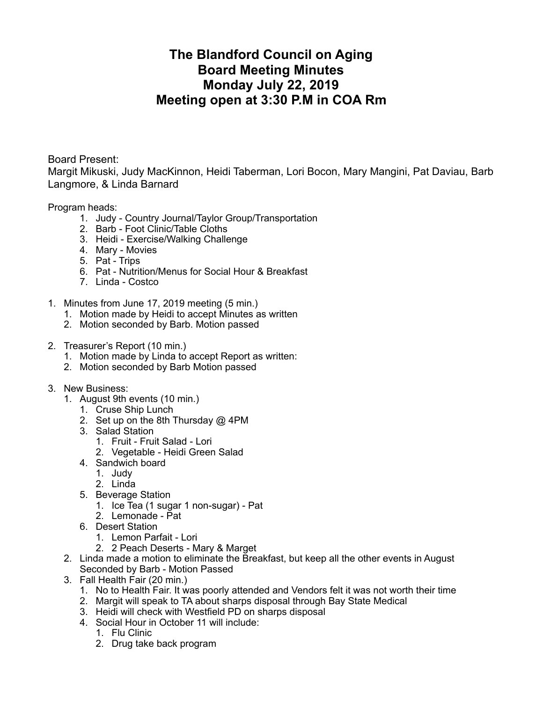## **The Blandford Council on Aging Board Meeting Minutes Monday July 22, 2019 Meeting open at 3:30 P.M in COA Rm**

Board Present:

Margit Mikuski, Judy MacKinnon, Heidi Taberman, Lori Bocon, Mary Mangini, Pat Daviau, Barb Langmore, & Linda Barnard

Program heads:

- 1. Judy Country Journal/Taylor Group/Transportation
- 2. Barb Foot Clinic/Table Cloths
- 3. Heidi Exercise/Walking Challenge
- 4. Mary Movies
- 5. Pat Trips
- 6. Pat Nutrition/Menus for Social Hour & Breakfast
- 7. Linda Costco
- 1. Minutes from June 17, 2019 meeting (5 min.)
	- 1. Motion made by Heidi to accept Minutes as written
	- 2. Motion seconded by Barb. Motion passed
- 2. Treasurer's Report (10 min.)
	- 1. Motion made by Linda to accept Report as written:
	- 2. Motion seconded by Barb Motion passed
- 3. New Business:
	- 1. August 9th events (10 min.)
		- 1. Cruse Ship Lunch
		- 2. Set up on the 8th Thursday @ 4PM
		- 3. Salad Station
			- 1. Fruit Fruit Salad Lori
			- 2. Vegetable Heidi Green Salad
		- 4. Sandwich board
			- 1. Judy
			- 2. Linda
		- 5. Beverage Station
			- 1. Ice Tea (1 sugar 1 non-sugar) Pat
			- 2. Lemonade Pat
		- 6. Desert Station
			- 1. Lemon Parfait Lori
			- 2. 2 Peach Deserts Mary & Marget
	- 2. Linda made a motion to eliminate the Breakfast, but keep all the other events in August Seconded by Barb - Motion Passed
	- 3. Fall Health Fair (20 min.)
		- 1. No to Health Fair. It was poorly attended and Vendors felt it was not worth their time
		- 2. Margit will speak to TA about sharps disposal through Bay State Medical
		- 3. Heidi will check with Westfield PD on sharps disposal
		- 4. Social Hour in October 11 will include:
			- 1. Flu Clinic
			- 2. Drug take back program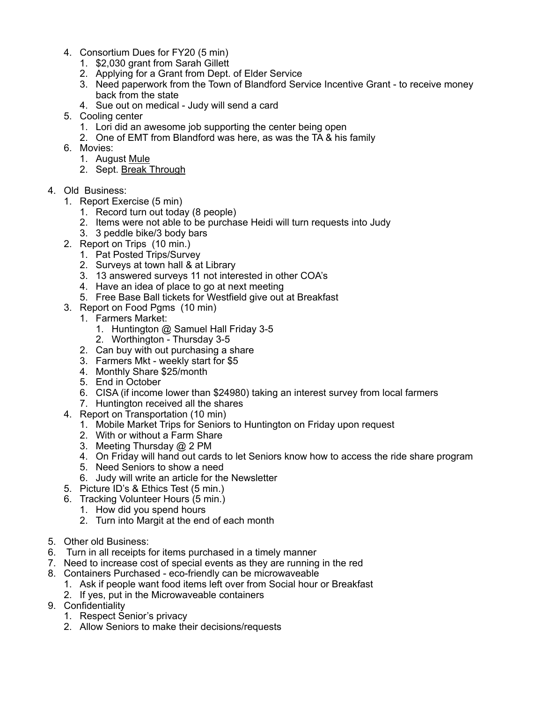- 4. Consortium Dues for FY20 (5 min)
	- 1. \$2,030 grant from Sarah Gillett
	- 2. Applying for a Grant from Dept. of Elder Service
	- 3. Need paperwork from the Town of Blandford Service Incentive Grant to receive money back from the state
	- 4. Sue out on medical Judy will send a card
- 5. Cooling center
	- 1. Lori did an awesome job supporting the center being open
	- 2. One of EMT from Blandford was here, as was the TA & his family
- 6. Movies:
	- 1. August Mule
	- 2. Sept. Break Through
- 4. Old Business:
	- 1. Report Exercise (5 min)
		- 1. Record turn out today (8 people)
		- 2. Items were not able to be purchase Heidi will turn requests into Judy
		- 3. 3 peddle bike/3 body bars
	- 2. Report on Trips (10 min.)
		- 1. Pat Posted Trips/Survey
		- 2. Surveys at town hall & at Library
		- 3. 13 answered surveys 11 not interested in other COA's
		- 4. Have an idea of place to go at next meeting
		- 5. Free Base Ball tickets for Westfield give out at Breakfast
	- 3. Report on Food Pgms (10 min)
		- 1. Farmers Market:
			- 1. Huntington @ Samuel Hall Friday 3-5
			- 2. Worthington Thursday 3-5
		- 2. Can buy with out purchasing a share
		- 3. Farmers Mkt weekly start for \$5
		- 4. Monthly Share \$25/month
		- 5. End in October
		- 6. CISA (if income lower than \$24980) taking an interest survey from local farmers
		- 7. Huntington received all the shares
	- 4. Report on Transportation (10 min)
		- 1. Mobile Market Trips for Seniors to Huntington on Friday upon request
		- 2. With or without a Farm Share
		- 3. Meeting Thursday @ 2 PM
		- 4. On Friday will hand out cards to let Seniors know how to access the ride share program
		- 5. Need Seniors to show a need
		- 6. Judy will write an article for the Newsletter
	- 5. Picture ID's & Ethics Test (5 min.)
	- 6. Tracking Volunteer Hours (5 min.)
		- 1. How did you spend hours
		- 2. Turn into Margit at the end of each month
- 5. Other old Business:
- 6. Turn in all receipts for items purchased in a timely manner
- 7. Need to increase cost of special events as they are running in the red
- 8. Containers Purchased eco-friendly can be microwaveable
	- 1. Ask if people want food items left over from Social hour or Breakfast
	- 2. If yes, put in the Microwaveable containers
- 9. Confidentiality
	- 1. Respect Senior's privacy
	- 2. Allow Seniors to make their decisions/requests